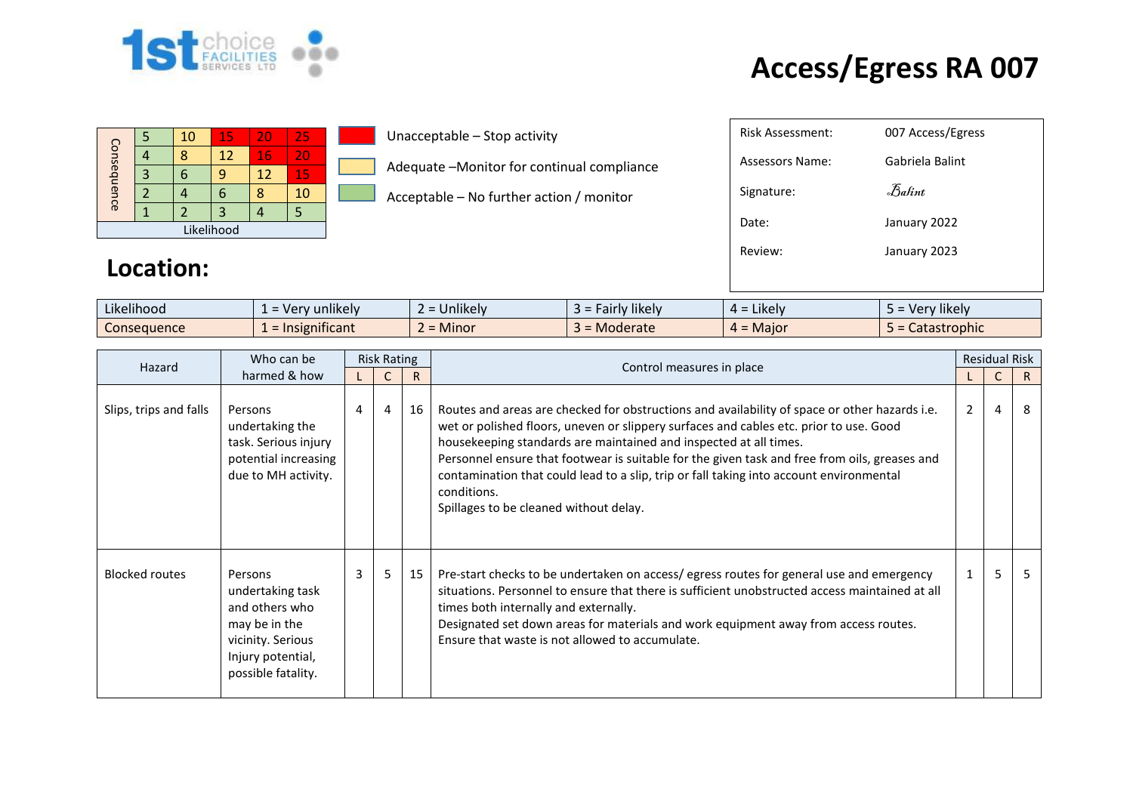

## **Access/Egress RA 007**

|             |  | 10 | 15 | 20 | 25 |  |  |
|-------------|--|----|----|----|----|--|--|
| Consequence |  |    | 12 | 16 | 20 |  |  |
|             |  |    | q  | 12 | 15 |  |  |
|             |  |    | 6  |    | 10 |  |  |
|             |  |    |    |    |    |  |  |
| Likelihood  |  |    |    |    |    |  |  |

Unacceptable – Stop activity

Adequate –Monitor for continual compliance

Acceptable – No further action / monitor

| <b>Risk Assessment:</b> | 007 Access/Egress |
|-------------------------|-------------------|
| Assessors Name:         | Gabriela Balint   |
| Signature:              | Balint            |
| Date:                   | January 2022      |
| Review:                 | January 2023      |
|                         |                   |

## **Location:**

| $\cdots$<br>$\cdots$<br>Likelihood | $\blacksquare$<br>unlikelv<br>$\overline{10}$<br>$\sim$<br>$\overline{\phantom{0}}$<br>$\mathbf{v}$ | $\cdots$<br>∽<br><b>Jnlikely</b> | <i>F</i> airly likely<br>-- | .<br>$\overline{\phantom{a}}$ Likely $\overline{\phantom{a}}$<br>$\mu$ - | $\cdots$<br><b>'likely</b><br>ver |
|------------------------------------|-----------------------------------------------------------------------------------------------------|----------------------------------|-----------------------------|--------------------------------------------------------------------------|-----------------------------------|
| Consequence                        | .<br>nsignificant<br>$=$ Ir                                                                         | -<br><b>Minor</b>                | Moderate                    | . Maior<br>. .                                                           | <b>tastrophic</b><br>calasli      |

| Who can be<br>Hazard   | <b>Risk Rating</b>                                                                                                             |   |                |              |                                                                                                                                                                                                                                                                                                                                                                                                                                                                                                                   | <b>Residual Risk</b> |   |    |
|------------------------|--------------------------------------------------------------------------------------------------------------------------------|---|----------------|--------------|-------------------------------------------------------------------------------------------------------------------------------------------------------------------------------------------------------------------------------------------------------------------------------------------------------------------------------------------------------------------------------------------------------------------------------------------------------------------------------------------------------------------|----------------------|---|----|
| harmed & how           |                                                                                                                                |   |                | $\mathsf{R}$ | Control measures in place                                                                                                                                                                                                                                                                                                                                                                                                                                                                                         |                      |   | R. |
| Slips, trips and falls | Persons<br>undertaking the<br>task. Serious injury<br>potential increasing<br>due to MH activity.                              | 4 | $\overline{4}$ | 16           | Routes and areas are checked for obstructions and availability of space or other hazards i.e.<br>wet or polished floors, uneven or slippery surfaces and cables etc. prior to use. Good<br>housekeeping standards are maintained and inspected at all times.<br>Personnel ensure that footwear is suitable for the given task and free from oils, greases and<br>contamination that could lead to a slip, trip or fall taking into account environmental<br>conditions.<br>Spillages to be cleaned without delay. | 2                    | 4 | 8  |
| <b>Blocked routes</b>  | Persons<br>undertaking task<br>and others who<br>may be in the<br>vicinity. Serious<br>Injury potential,<br>possible fatality. | 3 | 5              | 15           | Pre-start checks to be undertaken on access/egress routes for general use and emergency<br>situations. Personnel to ensure that there is sufficient unobstructed access maintained at all<br>times both internally and externally.<br>Designated set down areas for materials and work equipment away from access routes.<br>Ensure that waste is not allowed to accumulate.                                                                                                                                      |                      | 5 |    |